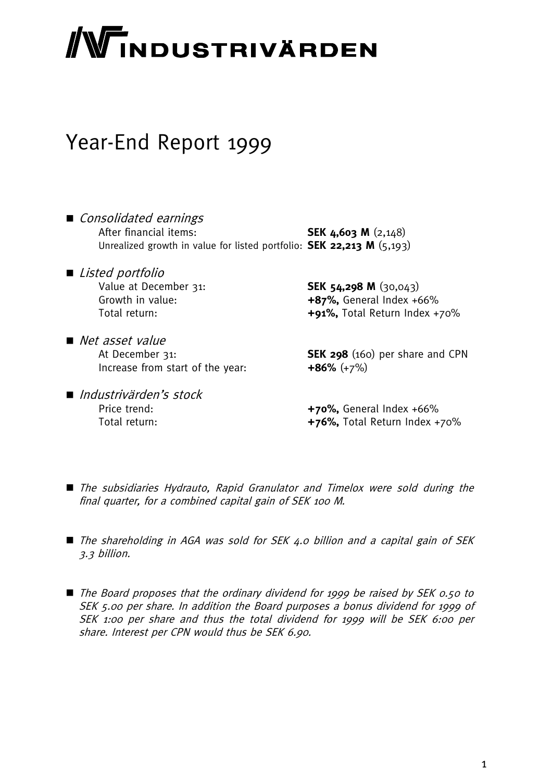# **NTINDUSTRIVÄRDEN**

# Year-End Report 1999

- Consolidated earnings After financial items: **SEK 4,603 M** (2,148) Unrealized growth in value for listed portfolio: **SEK 22,213 M** (5,193)
- *Listed portfolio* Value at December 31: **SEK 54,298 M** (30,043)
- Net asset value Increase from start of the year: **+86%** (+7%)
- Industrivärden's stock

Growth in value: **+87%,** General Index +66% Total return: **+91%,** Total Return Index +70%

At December 31: **SEK 298** (160) per share and CPN

Price trend: **+70%**, General Index +66% Total return: **+76%,** Total Return Index +70%

- The subsidiaries Hydrauto, Rapid Granulator and Timelox were sold during the final quarter, for a combined capital gain of SEK 100 M.
- The shareholding in AGA was sold for SEK 4.0 billion and a capital gain of SEK 3.3 billion.
- The Board proposes that the ordinary dividend for 1999 be raised by SEK 0.50 to SEK 5.00 per share. In addition the Board purposes a bonus dividend for 1999 of SEK 1:00 per share and thus the total dividend for 1999 will be SEK 6:00 per share. Interest per CPN would thus be SEK 6.90.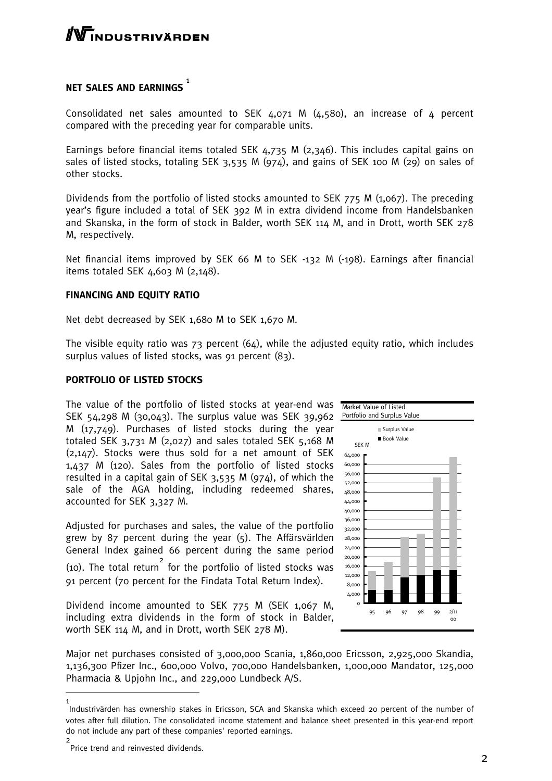

## NET SALES AND EARNINGS  $^{\mathrm{1}}$

Consolidated net sales amounted to SEK 4,071 M (4,580), an increase of 4 percent compared with the preceding year for comparable units.

Earnings before financial items totaled SEK 4,735 M (2,346). This includes capital gains on sales of listed stocks, totaling SEK 3,535 M (974), and gains of SEK 100 M (29) on sales of other stocks.

Dividends from the portfolio of listed stocks amounted to SEK 775 M (1,067). The preceding year's figure included a total of SEK 392 M in extra dividend income from Handelsbanken and Skanska, in the form of stock in Balder, worth SEK 114 M, and in Drott, worth SEK 278 M, respectively.

Net financial items improved by SEK 66 M to SEK -132 M (-198). Earnings after financial items totaled SEK 4,603 M (2,148).

#### **FINANCING AND EQUITY RATIO**

Net debt decreased by SEK 1,680 M to SEK 1,670 M.

The visible equity ratio was  $73$  percent  $(64)$ , while the adjusted equity ratio, which includes surplus values of listed stocks, was 91 percent (83).

#### **PORTFOLIO OF LISTED STOCKS**

The value of the portfolio of listed stocks at year-end was SEK 54,298 M (30,043). The surplus value was SEK 39,962 M (17,749). Purchases of listed stocks during the year totaled SEK  $3,731$  M (2,027) and sales totaled SEK  $5,168$  M (2,147). Stocks were thus sold for a net amount of SEK 1,437 M (120). Sales from the portfolio of listed stocks resulted in a capital gain of SEK 3,535 M (974), of which the sale of the AGA holding, including redeemed shares, accounted for SEK 3,327 M.

Adjusted for purchases and sales, the value of the portfolio grew by 87 percent during the year (5). The Affärsvärlden General Index gained 66 percent during the same period (10). The total return 2 for the portfolio of listed stocks was 91 percent (70 percent for the Findata Total Return Index).

Dividend income amounted to SEK 775 M (SEK 1,067 M, including extra dividends in the form of stock in Balder, worth SEK 114 M, and in Drott, worth SEK 278 M).



Major net purchases consisted of 3,000,000 Scania, 1,860,000 Ericsson, 2,925,000 Skandia, 1,136,300 Pfizer Inc., 600,000 Volvo, 700,000 Handelsbanken, 1,000,000 Mandator, 125,000 Pharmacia & Upjohn Inc., and 229,000 Lundbeck A/S.

1

Industrivärden has ownership stakes in Ericsson, SCA and Skanska which exceed 20 percent of the number of votes after full dilution. The consolidated income statement and balance sheet presented in this year-end report do not include any part of these companies' reported earnings. 2

Price trend and reinvested dividends.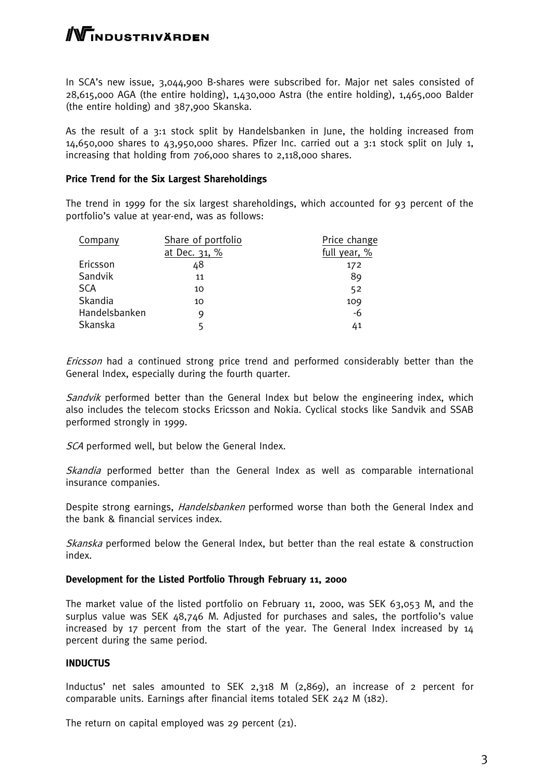# WINDUSTRIVÄRDEN

In SCA's new issue, 3,044,900 B-shares were subscribed for. Major net sales consisted of 28,615,000 AGA (the entire holding), 1,430,000 Astra (the entire holding), 1,465,000 Balder (the entire holding) and 387,900 Skanska.

As the result of a 3:1 stock split by Handelsbanken in June, the holding increased from  $14,650,000$  shares to  $43,950,000$  shares. Pfizer Inc. carried out a 3:1 stock split on July 1, increasing that holding from 706,000 shares to 2,118,000 shares.

#### **Price Trend for the Six Largest Shareholdings**

The trend in 1999 for the six largest shareholdings, which accounted for 93 percent of the portfolio's value at year-end, was as follows:

| Company       | Share of portfolio | Price change |
|---------------|--------------------|--------------|
|               | at Dec. 31, %      | full year, % |
| Ericsson      | 48                 | 172          |
| Sandvik       | 11                 | 89           |
| <b>SCA</b>    | 10                 | 52           |
| Skandia       | 10                 | 109          |
| Handelsbanken | 9                  | $-6$         |
| Skanska       | 5                  | 41           |
|               |                    |              |

Ericsson had a continued strong price trend and performed considerably better than the General Index, especially during the fourth quarter.

Sandvik performed better than the General Index but below the engineering index, which also includes the telecom stocks Ericsson and Nokia. Cyclical stocks like Sandvik and SSAB performed strongly in 1999.

SCA performed well, but below the General Index.

Skandia performed better than the General Index as well as comparable international insurance companies.

Despite strong earnings, *Handelsbanken* performed worse than both the General Index and the bank & financial services index.

Skanska performed below the General Index, but better than the real estate & construction index.

#### **Development for the Listed Portfolio Through February 11, 2000**

The market value of the listed portfolio on February 11, 2000, was SEK 63,053 M, and the surplus value was SEK 48,746 M. Adjusted for purchases and sales, the portfolio's value increased by 17 percent from the start of the year. The General Index increased by 14 percent during the same period.

#### **INDUCTUS**

Inductus' net sales amounted to SEK 2,318 M (2,869), an increase of 2 percent for comparable units. Earnings after financial items totaled SEK 242 M (182).

The return on capital employed was 29 percent (21).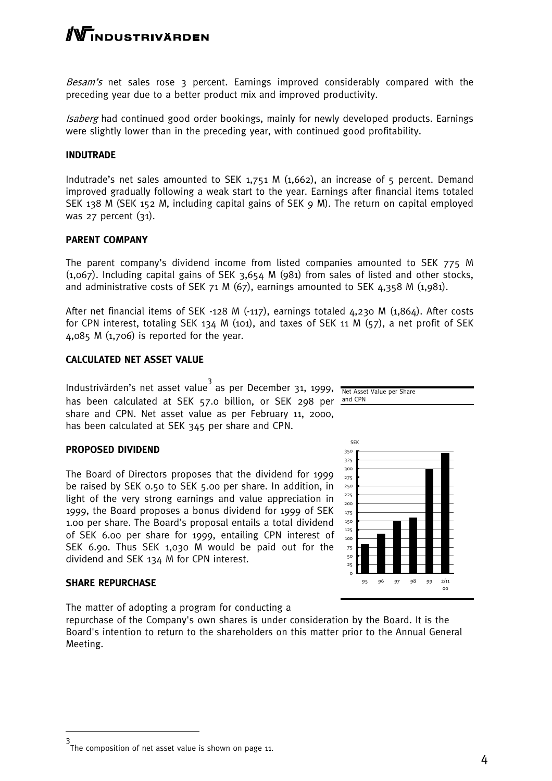# -<br>INDUSTRIVÄRDEN

Besam's net sales rose 3 percent. Earnings improved considerably compared with the preceding year due to a better product mix and improved productivity.

Isaberg had continued good order bookings, mainly for newly developed products. Earnings were slightly lower than in the preceding year, with continued good profitability.

#### **INDUTRADE**

Indutrade's net sales amounted to SEK 1,751 M (1,662), an increase of 5 percent. Demand improved gradually following a weak start to the year. Earnings after financial items totaled SEK 138 M (SEK 152 M, including capital gains of SEK 9 M). The return on capital employed was 27 percent (31).

#### **PARENT COMPANY**

The parent company's dividend income from listed companies amounted to SEK 775 M (1,067). Including capital gains of SEK 3,654 M (981) from sales of listed and other stocks, and administrative costs of SEK 71 M (67), earnings amounted to SEK 4,358 M (1,981).

After net financial items of SEK -128 M (-117), earnings totaled 4,230 M (1,864). After costs for CPN interest, totaling SEK 134 M (101), and taxes of SEK 11 M (57), a net profit of SEK  $4,085$  M  $(1,706)$  is reported for the year.

#### **CALCULATED NET ASSET VALUE**

Industrivärden's net asset value<sup>3</sup> as per December 31, 1999, Net Asset Value per Share has been calculated at SEK 57.0 billion, or SEK 298 per <u>and.CPN</u> share and CPN. Net asset value as per February 11, 2000, has been calculated at SEK 345 per share and CPN.

#### **PROPOSED DIVIDEND**

The Board of Directors proposes that the dividend for 1999 be raised by SEK 0.50 to SEK 5.00 per share. In addition, in light of the very strong earnings and value appreciation in 1999, the Board proposes a bonus dividend for 1999 of SEK 1.00 per share. The Board's proposal entails a total dividend of SEK 6.00 per share for 1999, entailing CPN interest of SEK 6.90. Thus SEK 1,030 M would be paid out for the dividend and SEK 134 M for CPN interest.

#### **SHARE REPURCHASE**

The matter of adopting a program for conducting a

repurchase of the Company's own shares is under consideration by the Board. It is the Board's intention to return to the shareholders on this matter prior to the Annual General Meeting.



<sup>3</sup> The composition of net asset value is shown on page 11.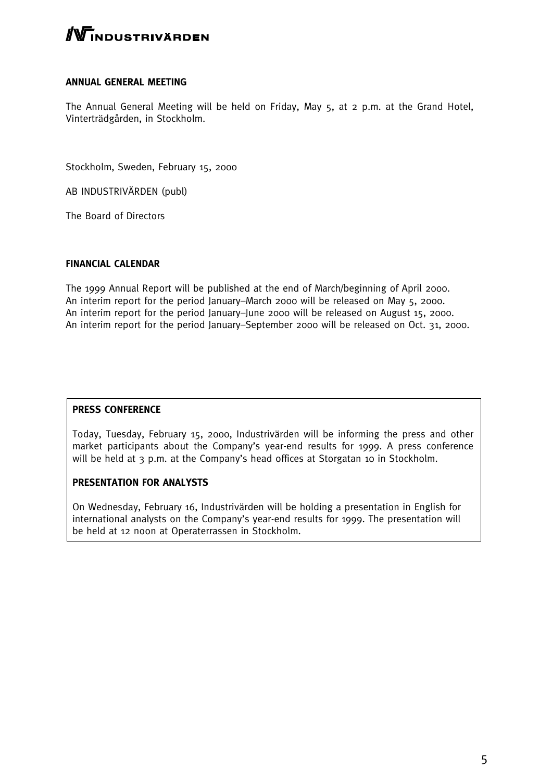# $\mathbb N$ industrivärden

#### **ANNUAL GENERAL MEETING**

The Annual General Meeting will be held on Friday, May 5, at 2 p.m. at the Grand Hotel, Vinterträdgården, in Stockholm.

Stockholm, Sweden, February 15, 2000

AB INDUSTRIVÄRDEN (publ)

The Board of Directors

#### **FINANCIAL CALENDAR**

The 1999 Annual Report will be published at the end of March/beginning of April 2000. An interim report for the period January–March 2000 will be released on May 5, 2000. An interim report for the period January–June 2000 will be released on August 15, 2000. An interim report for the period January–September 2000 will be released on Oct. 31, 2000.

#### **PRESS CONFERENCE**

Today, Tuesday, February 15, 2000, Industrivärden will be informing the press and other market participants about the Company's year-end results for 1999. A press conference will be held at 3 p.m. at the Company's head offices at Storgatan 10 in Stockholm.

#### **PRESENTATION FOR ANALYSTS**

On Wednesday, February 16, Industrivärden will be holding a presentation in English for international analysts on the Company's year-end results for 1999. The presentation will be held at 12 noon at Operaterrassen in Stockholm.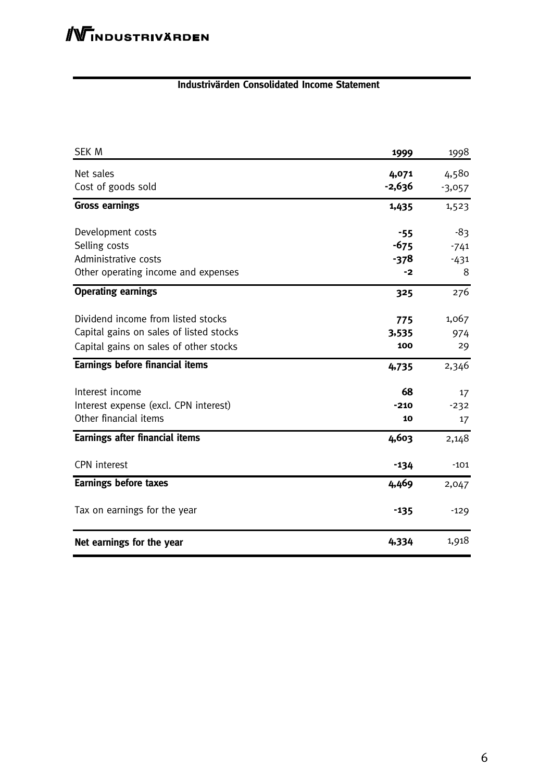#### **Industrivärden Consolidated Income Statement**

| SEK M                                   | 1999     | 1998     |
|-----------------------------------------|----------|----------|
| Net sales                               | 4,071    | 4,580    |
| Cost of goods sold                      | $-2,636$ | $-3,057$ |
| <b>Gross earnings</b>                   | 1,435    | 1,523    |
| Development costs                       | $-55$    | -83      |
| Selling costs                           | $-675$   | $-741$   |
| Administrative costs                    | $-378$   | $-431$   |
| Other operating income and expenses     | -2       | 8        |
| <b>Operating earnings</b>               | 325      | 276      |
| Dividend income from listed stocks      | 775      | 1,067    |
| Capital gains on sales of listed stocks | 3,535    | 974      |
| Capital gains on sales of other stocks  | 100      | 29       |
| Earnings before financial items         | 4,735    | 2,346    |
| Interest income                         | 68       | 17       |
| Interest expense (excl. CPN interest)   | $-210$   | $-232$   |
| Other financial items                   | 10       | 17       |
| <b>Earnings after financial items</b>   | 4,603    | 2,148    |
| <b>CPN</b> interest                     | $-134$   | $-101$   |
| <b>Earnings before taxes</b>            | 4,469    | 2,047    |
| Tax on earnings for the year            | $-135$   | $-129$   |
| Net earnings for the year               | 4,334    | 1,918    |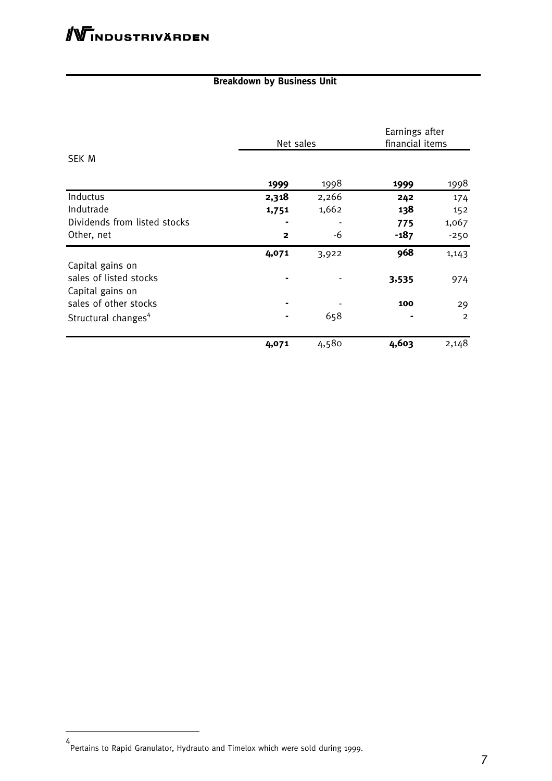### **Breakdown by Business Unit**

|                                 | Net sales    |       | Earnings after<br>financial items |                |
|---------------------------------|--------------|-------|-----------------------------------|----------------|
| <b>SEK M</b>                    |              |       |                                   |                |
|                                 | 1999         | 1998  | 1999                              | 1998           |
| Inductus                        | 2,318        | 2,266 | 242                               | 174            |
| Indutrade                       | 1,751        | 1,662 | 138                               | 152            |
| Dividends from listed stocks    |              |       | 775                               | 1,067          |
| Other, net                      | $\mathbf{2}$ | -6    | $-187$                            | $-250$         |
|                                 | 4,071        | 3,922 | 968                               | 1,143          |
| Capital gains on                |              |       |                                   |                |
| sales of listed stocks          |              |       | 3,535                             | 974            |
| Capital gains on                |              |       |                                   |                |
| sales of other stocks           |              |       | 100                               | 29             |
| Structural changes <sup>4</sup> |              | 658   |                                   | $\overline{2}$ |
|                                 | 4,071        | 4,580 | 4,603                             | 2,148          |

<sup>4</sup> Pertains to Rapid Granulator, Hydrauto and Timelox which were sold during 1999.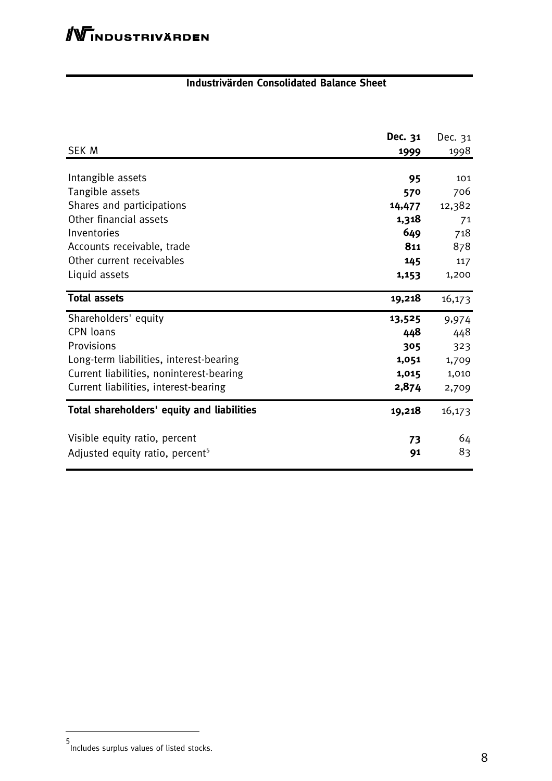### **Industrivärden Consolidated Balance Sheet**

|                                             | Dec. 31 | Dec. 31 |
|---------------------------------------------|---------|---------|
| <b>SEK M</b>                                | 1999    | 1998    |
|                                             |         |         |
| Intangible assets                           | 95      | 101     |
| Tangible assets                             | 570     | 706     |
| Shares and participations                   | 14,477  | 12,382  |
| Other financial assets                      | 1,318   | 71      |
| Inventories                                 | 649     | 718     |
| Accounts receivable, trade                  | 811     | 878     |
| Other current receivables                   | 145     | 117     |
| Liquid assets                               | 1,153   | 1,200   |
|                                             |         |         |
| <b>Total assets</b>                         | 19,218  | 16,173  |
| Shareholders' equity                        | 13,525  | 9,974   |
| CPN loans                                   | 448     | 448     |
| Provisions                                  | 305     | 323     |
| Long-term liabilities, interest-bearing     | 1,051   | 1,709   |
| Current liabilities, noninterest-bearing    | 1,015   | 1,010   |
| Current liabilities, interest-bearing       | 2,874   | 2,709   |
| Total shareholders' equity and liabilities  | 19,218  | 16,173  |
| Visible equity ratio, percent               | 73      | 64      |
| Adjusted equity ratio, percent <sup>5</sup> | 91      | 83      |

<sup>5</sup> Includes surplus values of listed stocks.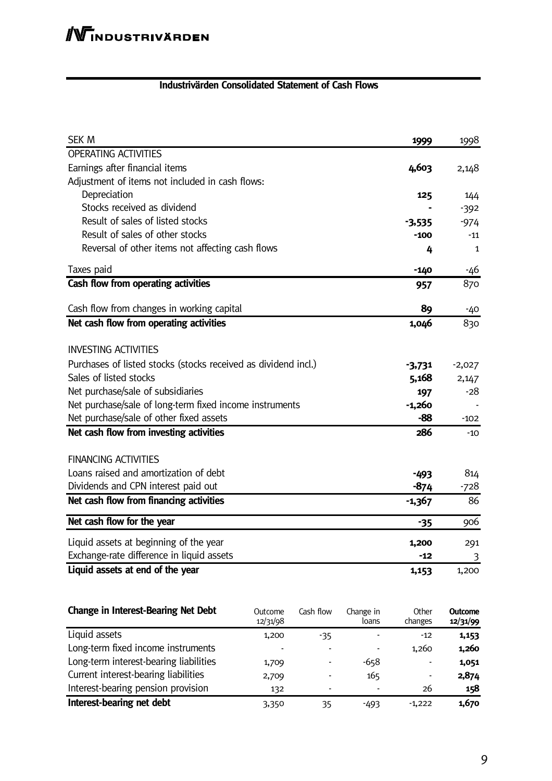### **Industrivärden Consolidated Statement of Cash Flows**

| <b>SEK M</b>                                                   | 1999     | 1998         |
|----------------------------------------------------------------|----------|--------------|
| <b>OPERATING ACTIVITIES</b>                                    |          |              |
| Earnings after financial items                                 | 4,603    | 2,148        |
| Adjustment of items not included in cash flows:                |          |              |
| Depreciation                                                   | 125      | 144          |
| Stocks received as dividend                                    |          | $-392$       |
| Result of sales of listed stocks                               | -3,535   | $-974$       |
| Result of sales of other stocks                                | $-100$   | -11          |
| Reversal of other items not affecting cash flows               | 4        | $\mathbf{1}$ |
| Taxes paid                                                     | $-140$   | -46          |
| Cash flow from operating activities                            | 957      | 870          |
| Cash flow from changes in working capital                      | 89       | $-40$        |
| Net cash flow from operating activities                        | 1,046    | 830          |
| <b>INVESTING ACTIVITIES</b>                                    |          |              |
| Purchases of listed stocks (stocks received as dividend incl.) | -3,731   | $-2,027$     |
| Sales of listed stocks                                         | 5,168    | 2,147        |
| Net purchase/sale of subsidiaries                              | 197      | -28          |
| Net purchase/sale of long-term fixed income instruments        | $-1,260$ |              |
| Net purchase/sale of other fixed assets                        | -88      | $-102$       |
| Net cash flow from investing activities                        | 286      | $-10$        |
| <b>FINANCING ACTIVITIES</b>                                    |          |              |
| Loans raised and amortization of debt                          | $-493$   | 814          |
| Dividends and CPN interest paid out                            | $-874$   | -728         |
| Net cash flow from financing activities                        | $-1,367$ | 86           |
| Net cash flow for the year                                     | $-35$    | 906          |
| Liquid assets at beginning of the year                         | 1,200    | 291          |
| Exchange-rate difference in liquid assets                      | $-12$    | 3            |
| Liquid assets at end of the year                               | 1,153    | 1,200        |
|                                                                |          |              |

| <b>Change in Interest-Bearing Net Debt</b> | Outcome<br>12/31/98 | Cash flow | Change in<br>loans | Other<br>changes | <b>Outcome</b><br>12/31/99 |
|--------------------------------------------|---------------------|-----------|--------------------|------------------|----------------------------|
| Liquid assets                              | 1,200               | -35       |                    | $-12$            | 1,153                      |
| Long-term fixed income instruments         |                     |           |                    | 1,260            | 1,260                      |
| Long-term interest-bearing liabilities     | 1,709               |           | $-658$             |                  | 1,051                      |
| Current interest-bearing liabilities       | 2,709               | ۰         | 165                |                  | 2,874                      |
| Interest-bearing pension provision         | 132                 |           |                    | 26               | 158                        |
| Interest-bearing net debt                  | 3,350               | 35        | -493               | $-1,222$         | 1,670                      |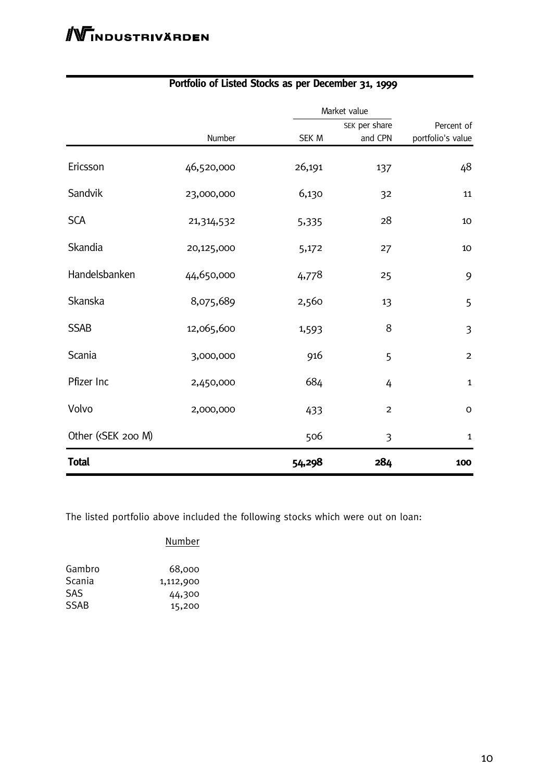|                                                                                                                                |            | Market value |                |                   |  |
|--------------------------------------------------------------------------------------------------------------------------------|------------|--------------|----------------|-------------------|--|
|                                                                                                                                |            |              | SEK per share  |                   |  |
|                                                                                                                                | Number     | SEK M        | and CPN        | portfolio's value |  |
| Ericsson                                                                                                                       | 46,520,000 | 26,191       | 137            | 48                |  |
| Sandvik                                                                                                                        | 23,000,000 | 6,130        | 32             | 11                |  |
| <b>SCA</b>                                                                                                                     | 21,314,532 | 5,335        | 28             | 10                |  |
| Skandia                                                                                                                        | 20,125,000 | 5,172        | 27             | 10                |  |
| Handelsbanken                                                                                                                  | 44,650,000 | 4,778        | 25             | 9                 |  |
| Skanska                                                                                                                        | 8,075,689  | 2,560        | 13             | 5                 |  |
| <b>SSAB</b>                                                                                                                    | 12,065,600 | 1,593        | 8              | $\overline{3}$    |  |
| Scania                                                                                                                         | 3,000,000  | 916          | 5              | $\overline{2}$    |  |
| Pfizer Inc                                                                                                                     | 2,450,000  | 684          | 4              | $\mathbf{1}$      |  |
| Volvo                                                                                                                          | 2,000,000  | 433          | $\mathbf 2$    | $\mathsf O$       |  |
| Other ( <sek 200="" m)<="" td=""><td></td><td>506</td><td><math>\mathfrak{Z}</math></td><td><math>\mathbf{1}</math></td></sek> |            | 506          | $\mathfrak{Z}$ | $\mathbf{1}$      |  |
| <b>Total</b>                                                                                                                   |            | 54,298       | 284            | 100               |  |

### **Portfolio of Listed Stocks as per December 31, 1999**

The listed portfolio above included the following stocks which were out on loan:

#### Number

| Gambro | 68,000    |
|--------|-----------|
| Scania | 1,112,900 |
| SAS    | 44,300    |
| SSAB   | 15,200    |